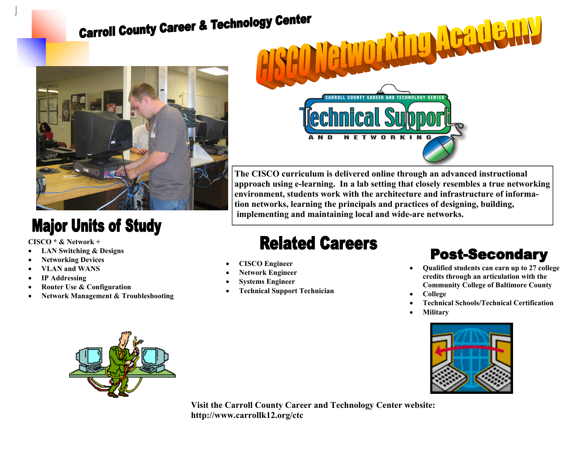# **Carroll County Career & Technology Center**



### **Major Units of Study**

**CISCO \* & Network +** 

- **LAN Switching & Designs**
- **Networking Devices**
- **VLAN and WANS**
- **IP Addressing**
- **Router Use & Configuration**
- **Network Management & Troubleshooting**



**The CISCO curriculum is delivered online through an advanced instructional approach using e-learning. In a lab setting that closely resembles a true networking environment, students work with the architecture and infrastructure of information networks, learning the principals and practices of designing, building, implementing and maintaining local and wide-are networks.** 

## **Related Careers**

- **CISCO Engineer**
- **Network Engineer**
- **Systems Engineer**
- **Technical Support Technician**

#### **Post-Secondary**

- **Qualified students can earn up to 27 college credits through an articulation with the Community College of Baltimore County**
- **College**
- **Technical Schools/Technical Certification**
- **Military**





**Visit the Carroll County Career and Technology Center website: http://www.carrollk12.org/ctc**